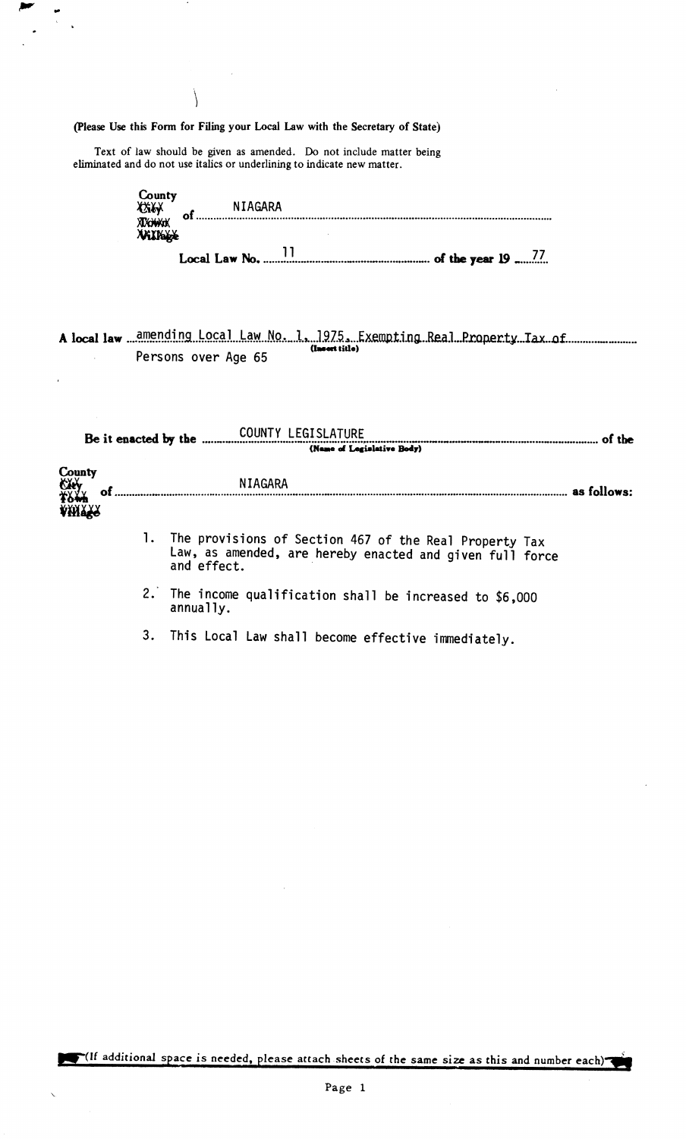(Please Use this Form for Filing your Local Law with the Secretary of State)

 $\setminus$ 

Text of law should be given as amended. Do not include matter being eliminated and do not use italics or underlining to indicate new matter.

| County<br><i>Civy</i><br>XXXXXXX<br><b>VAXIOLLE</b> | of | NIAGARA |  |  |  |  |  |  |
|-----------------------------------------------------|----|---------|--|--|--|--|--|--|
|                                                     |    |         |  |  |  |  |  |  |
|                                                     |    |         |  |  |  |  |  |  |

A local law ...amending Local Law No. 1, 1975, Exempting Real Property Tax of ................................ Persons over Age 65

|                        | Be it enacted by the COUNTY LEGISLATURE (Name of Logislative Body)                                                                   |  |  |  |
|------------------------|--------------------------------------------------------------------------------------------------------------------------------------|--|--|--|
| County<br>City<br>2644 | NIAGARA<br>NIA                                                                                                                       |  |  |  |
| <b>AHITR</b>           | 1. The provisions of Section 467 of the Real Property Tax<br>Law, as amended, are hereby enacted and given full force<br>and effect. |  |  |  |
|                        | 2. The income qualification shall be increased to \$6,000<br>annually.                                                               |  |  |  |

3. This Local Law shall become effective immediately.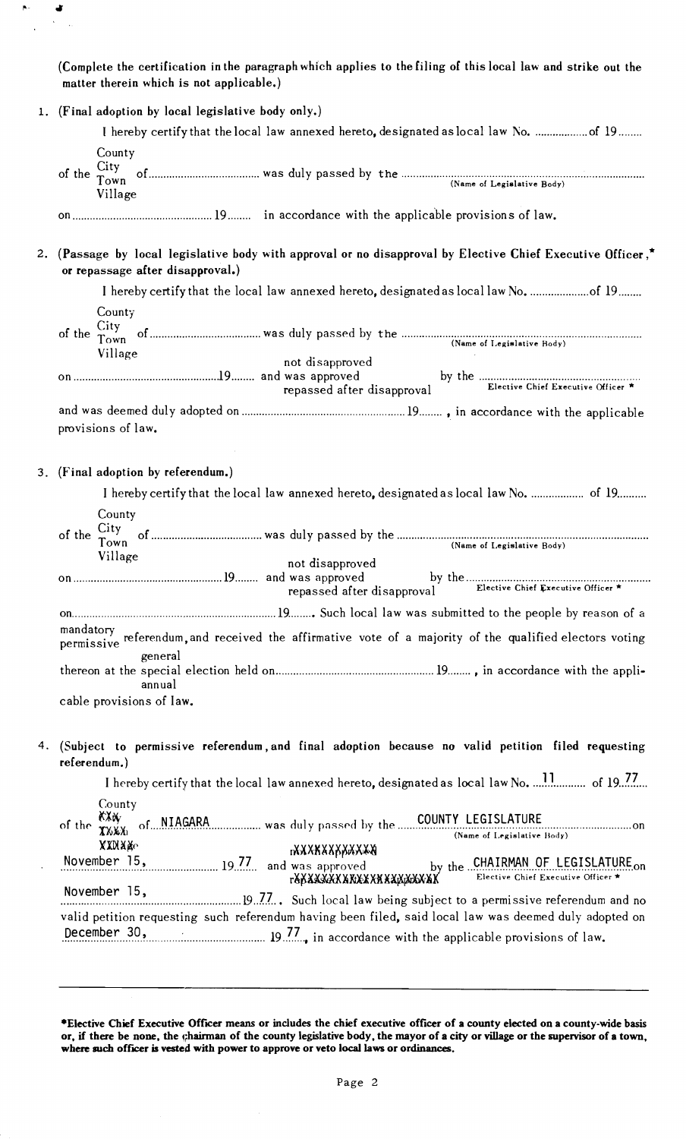(Complete the certification in the paragraph which applies to the filing of this local law and strike out the matter therein which is not applicable.)

 $\hat{\mathbf{p}}$  .

 $\overline{a}$ 

 $\bullet$  $\bar{\mathbf{v}}$  $\bar{\mathcal{A}}$ 

|    | 1. (Final adoption by local legislative body only.)                                                                                                                                 |
|----|-------------------------------------------------------------------------------------------------------------------------------------------------------------------------------------|
|    |                                                                                                                                                                                     |
|    | County<br>Village                                                                                                                                                                   |
|    |                                                                                                                                                                                     |
|    | 2. (Passage by local legislative body with approval or no disapproval by Elective Chief Executive Officer,*<br>or repassage after disapproval.)                                     |
|    |                                                                                                                                                                                     |
|    | County<br>Village<br>not disapproved                                                                                                                                                |
|    | repassed after disapproval                                                                                                                                                          |
|    | provisions of law.                                                                                                                                                                  |
|    | 3. (Final adoption by referendum.)                                                                                                                                                  |
|    | I hereby certify that the local law annexed hereto, designated as local law No.  of 19                                                                                              |
|    | County<br>(Name of Legislative Body)<br>Village<br>not disapproved                                                                                                                  |
|    | repassed after disapproval                                                                                                                                                          |
|    | mandatory<br>referendum, and received the affirmative vote of a majority of the qualified electors voting<br>permissive                                                             |
|    | general<br>annual                                                                                                                                                                   |
|    | cable provisions of law.                                                                                                                                                            |
| 4. | (Subject to permissive referendum, and final adoption because no valid petition filed requesting<br>referendum.)                                                                    |
|    |                                                                                                                                                                                     |
|    | County<br>of the XXXX of NIAGARA was duly passed by the COUNTY LEGISLATURE<br>(Name of Legislative Body)<br><b>XXXXXc</b>                                                           |
|    | <b>BAXXXXXXXXXX</b><br>November 15, 19.77 and was approved<br>by the CHAIRMAN OF LEGISLATURE on                                                                                     |
|    | Elective Chief Executive Officer *<br><b>F&amp;XXXXXXXXXXXXXXXXXXXXX</b><br>November 15,                                                                                            |
|    | valid petition requesting such referendum having been filed, said local law was deemed duly adopted on<br>December 30, 19.77., in accordance with the applicable provisions of law. |
|    |                                                                                                                                                                                     |

·Elective Chief Executive OffICer means or includes the chief executive officer of a county elected on a county-wide basis or, if there be none, the chairman of the county legislative body, the mayor of a city or village or the supervisor of a town, where such officer is vested with power to approve or veto local laws or ordinances.